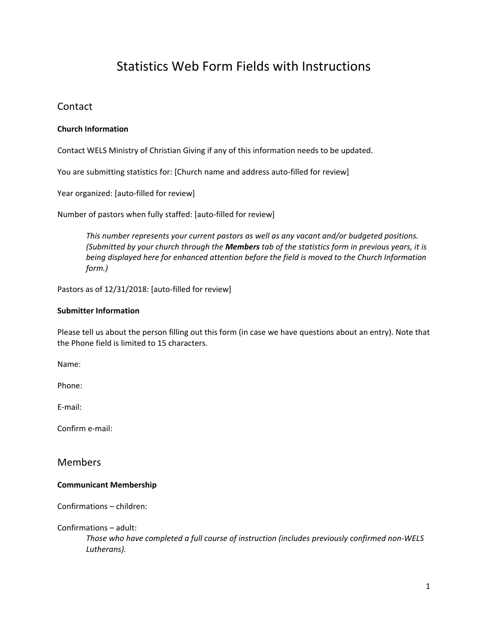# Statistics Web Form Fields with Instructions

# **Contact**

# **Church Information**

Contact WELS Ministry of Christian Giving if any of this information needs to be updated.

You are submitting statistics for: [Church name and address auto-filled for review]

Year organized: [auto-filled for review]

Number of pastors when fully staffed: [auto‐filled for review]

*This number represents your current pastors as well as any vacant and/or budgeted positions. (Submitted by your church through the Members tab of the statistics form in previous years, it is being displayed here for enhanced attention before the field is moved to the Church Information form.)* 

Pastors as of 12/31/2018: [auto-filled for review]

#### **Submitter Information**

Please tell us about the person filling out this form (in case we have questions about an entry). Note that the Phone field is limited to 15 characters.

Name:

Phone:

E‐mail:

Confirm e‐mail:

Members

### **Communicant Membership**

Confirmations – children:

Confirmations – adult:

*Those who have completed a full course of instruction (includes previously confirmed non‐WELS Lutherans).*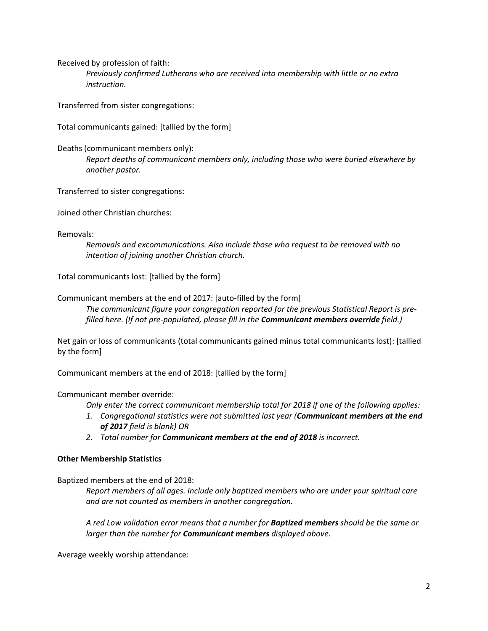Received by profession of faith:

*Previously confirmed Lutherans who are received into membership with little or no extra instruction.* 

Transferred from sister congregations:

Total communicants gained: [tallied by the form]

Deaths (communicant members only):

*Report deaths of communicant members only, including those who were buried elsewhere by another pastor.* 

Transferred to sister congregations:

Joined other Christian churches:

Removals:

*Removals and excommunications. Also include those who request to be removed with no intention of joining another Christian church.* 

Total communicants lost: [tallied by the form]

Communicant members at the end of 2017: [auto‐filled by the form]

*The communicant figure your congregation reported for the previous Statistical Report is pre‐ filled here. (If not pre‐populated, please fill in the Communicant members override field.)* 

Net gain or loss of communicants (total communicants gained minus total communicants lost): [tallied by the form]

Communicant members at the end of 2018: [tallied by the form]

Communicant member override:

*Only enter the correct communicant membership total for 2018 if one of the following applies:* 

- *1. Congregational statistics were not submitted last year (Communicant members at the end of 2017 field is blank) OR*
- *2. Total number for Communicant members at the end of 2018 is incorrect.*

### **Other Membership Statistics**

Baptized members at the end of 2018:

*Report members of all ages. Include only baptized members who are under your spiritual care and are not counted as members in another congregation.* 

*A red Low validation error means that a number for Baptized members should be the same or larger than the number for Communicant members displayed above.* 

Average weekly worship attendance: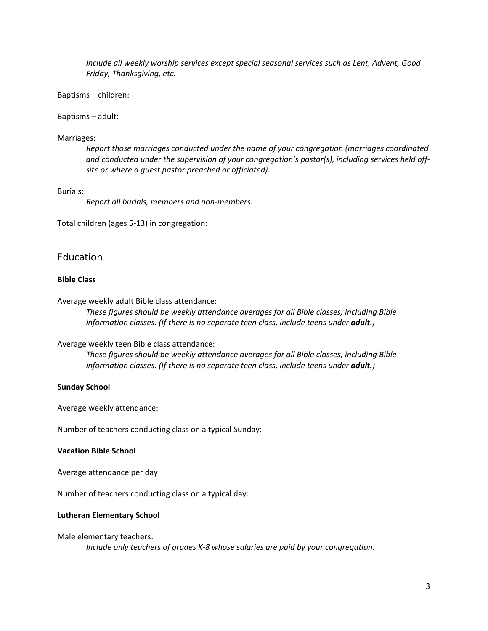*Include all weekly worship services except special seasonal services such as Lent, Advent, Good Friday, Thanksgiving, etc.* 

Baptisms – children:

Baptisms – adult:

#### Marriages:

*Report those marriages conducted under the name of your congregation (marriages coordinated and conducted under the supervision of your congregation's pastor(s), including services held off‐ site or where a guest pastor preached or officiated).* 

#### Burials:

*Report all burials, members and non‐members.* 

Total children (ages 5‐13) in congregation:

# Education

#### **Bible Class**

Average weekly adult Bible class attendance:

*These figures should be weekly attendance averages for all Bible classes, including Bible information classes.* (If there is no separate teen class, include teens under **adult**.)

#### Average weekly teen Bible class attendance:

*These figures should be weekly attendance averages for all Bible classes, including Bible information classes. (If there is no separate teen class, include teens under adult.)* 

#### **Sunday School**

Average weekly attendance:

Number of teachers conducting class on a typical Sunday:

#### **Vacation Bible School**

Average attendance per day:

Number of teachers conducting class on a typical day:

#### **Lutheran Elementary School**

#### Male elementary teachers:

*Include only teachers of grades K‐8 whose salaries are paid by your congregation.*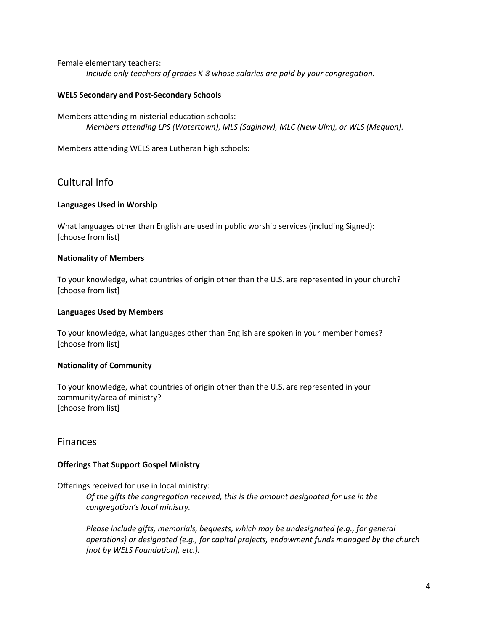Female elementary teachers:

*Include only teachers of grades K‐8 whose salaries are paid by your congregation.* 

### **WELS Secondary and Post‐Secondary Schools**

Members attending ministerial education schools: *Members attending LPS (Watertown), MLS (Saginaw), MLC (New Ulm), or WLS (Mequon).* 

Members attending WELS area Lutheran high schools:

# Cultural Info

# **Languages Used in Worship**

What languages other than English are used in public worship services (including Signed): [choose from list]

# **Nationality of Members**

To your knowledge, what countries of origin other than the U.S. are represented in your church? [choose from list]

# **Languages Used by Members**

To your knowledge, what languages other than English are spoken in your member homes? [choose from list]

# **Nationality of Community**

To your knowledge, what countries of origin other than the U.S. are represented in your community/area of ministry? [choose from list]

# Finances

# **Offerings That Support Gospel Ministry**

Offerings received for use in local ministry:

*Of the gifts the congregation received, this is the amount designated for use in the congregation's local ministry.* 

*Please include gifts, memorials, bequests, which may be undesignated (e.g., for general operations) or designated (e.g., for capital projects, endowment funds managed by the church [not by WELS Foundation], etc.).*